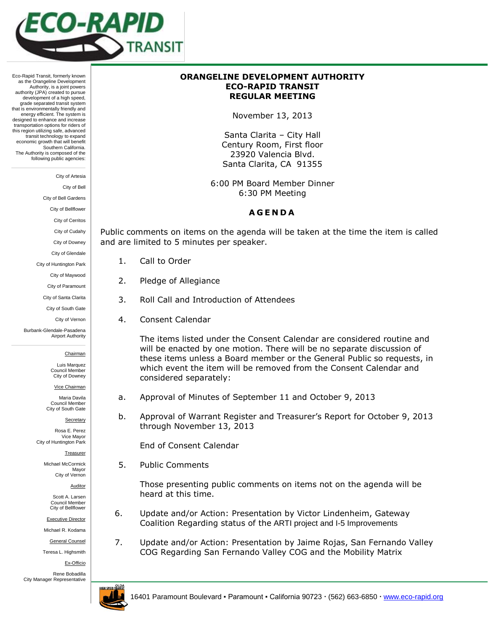

Eco-Rapid Transit, formerly known as the Orangeline Development Authority, is a joint powers authority (JPA) created to pursue development of a high speed. grade separated transit system that is environmentally friendly and energy efficient. The system is designed to enhance and increase transportation options for riders of this region utilizing safe, advanced transit technology to expand economic growth that will benefit Southern California. The Authority is composed of the following public agencies:

City of Artesia

City of Bell

City of Bell Gardens

City of Bellflower

City of Cerritos

City of Cudahy

City of Downey

City of Glendale

City of Huntington Park

City of Maywood

City of Paramount

City of Santa Clarita

City of South Gate

City of Vernon

Burbank-Glendale-Pasadena Airport Authority

Chairman

Luis Marquez Council Member City of Downey

Vice Chairman

Maria Davila Council Member City of South Gate

**Secretary** 

Rosa E. Perez Vice Mayor City of Huntington Park

Treasurer

Michael McCormick Mayor City of Vernon

Auditor

Scott A. Larsen Council Member City of Bellflower

Executive Director

Michael R. Kodama

General Counsel

Teresa L. Highsmith

Ex-Officio

Rene Bobadilla City Manager Representative



## **ORANGELINE DEVELOPMENT AUTHORITY ECO-RAPID TRANSIT REGULAR MEETING**

November 13, 2013

Santa Clarita – City Hall Century Room, First floor 23920 Valencia Blvd. Santa Clarita, CA 91355

6:00 PM Board Member Dinner 6:30 PM Meeting

## **A G E N D A**

Public comments on items on the agenda will be taken at the time the item is called and are limited to 5 minutes per speaker.

- 1. Call to Order
- 2. Pledge of Allegiance
- 3. Roll Call and Introduction of Attendees
- 4. Consent Calendar

The items listed under the Consent Calendar are considered routine and will be enacted by one motion. There will be no separate discussion of these items unless a Board member or the General Public so requests, in which event the item will be removed from the Consent Calendar and considered separately:

- a. Approval of Minutes of September 11 and October 9, 2013
- b. Approval of Warrant Register and Treasurer's Report for October 9, 2013 through November 13, 2013

End of Consent Calendar

5. Public Comments

Those presenting public comments on items not on the agenda will be heard at this time.

- 6. Update and/or Action: Presentation by Victor Lindenheim, Gateway Coalition Regarding status of the ARTI project and I-5 Improvements
- 7. Update and/or Action: Presentation by Jaime Rojas, San Fernando Valley COG Regarding San Fernando Valley COG and the Mobility Matrix